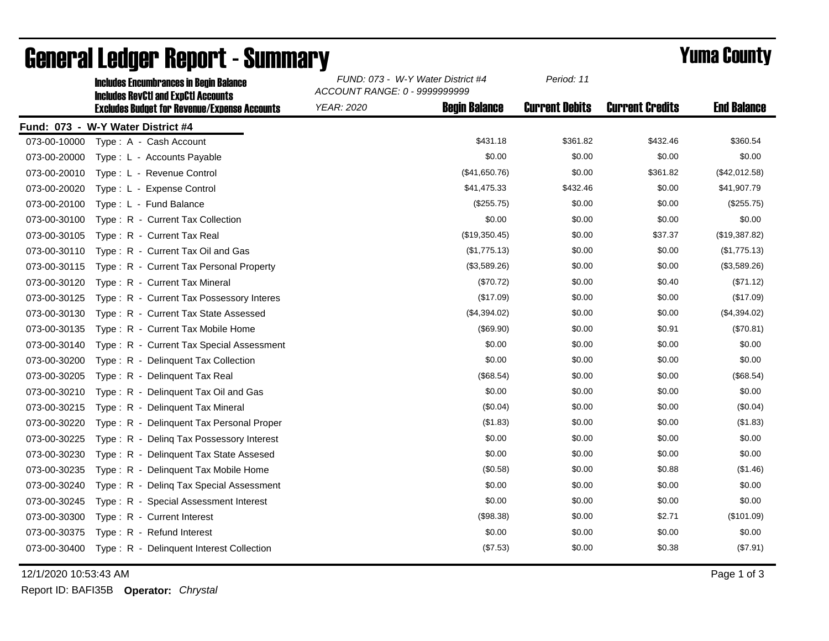|              | <b>Includes Encumbrances in Begin Balance</b><br><b>Includes RevCtI and ExpCtI Accounts</b><br><b>Excludes Budget for Revenue/Expense Accounts</b> | FUND: 073 - W-Y Water District #4<br>ACCOUNT RANGE: 0 - 9999999999 |                      | Period: 11            |                        |                    |
|--------------|----------------------------------------------------------------------------------------------------------------------------------------------------|--------------------------------------------------------------------|----------------------|-----------------------|------------------------|--------------------|
|              |                                                                                                                                                    | <b>YEAR: 2020</b>                                                  | <b>Begin Balance</b> | <b>Current Debits</b> | <b>Current Credits</b> | <b>End Balance</b> |
|              | Fund: 073 - W-Y Water District #4                                                                                                                  |                                                                    |                      |                       |                        |                    |
| 073-00-10000 | Type: A - Cash Account                                                                                                                             |                                                                    | \$431.18             | \$361.82              | \$432.46               | \$360.54           |
| 073-00-20000 | Type: L - Accounts Payable                                                                                                                         |                                                                    | \$0.00               | \$0.00                | \$0.00                 | \$0.00             |
| 073-00-20010 | Type: L - Revenue Control                                                                                                                          |                                                                    | (\$41,650.76)        | \$0.00                | \$361.82               | (\$42,012.58)      |
| 073-00-20020 | Type: L - Expense Control                                                                                                                          |                                                                    | \$41,475.33          | \$432.46              | \$0.00                 | \$41,907.79        |
| 073-00-20100 | Type: L - Fund Balance                                                                                                                             |                                                                    | $(\$255.75)$         | \$0.00                | \$0.00                 | (\$255.75)         |
| 073-00-30100 | Type: R - Current Tax Collection                                                                                                                   |                                                                    | \$0.00               | \$0.00                | \$0.00                 | \$0.00             |
| 073-00-30105 | Type: R - Current Tax Real                                                                                                                         |                                                                    | (\$19,350.45)        | \$0.00                | \$37.37                | (\$19,387.82)      |
| 073-00-30110 | Type: R - Current Tax Oil and Gas                                                                                                                  |                                                                    | (\$1,775.13)         | \$0.00                | \$0.00                 | (\$1,775.13)       |
| 073-00-30115 | Type: R - Current Tax Personal Property                                                                                                            |                                                                    | (\$3,589.26)         | \$0.00                | \$0.00                 | (\$3,589.26)       |
| 073-00-30120 | Type: R - Current Tax Mineral                                                                                                                      |                                                                    | (\$70.72)            | \$0.00                | \$0.40                 | (\$71.12)          |
| 073-00-30125 | Type: R - Current Tax Possessory Interes                                                                                                           |                                                                    | (\$17.09)            | \$0.00                | \$0.00                 | (\$17.09)          |
| 073-00-30130 | Type: R - Current Tax State Assessed                                                                                                               |                                                                    | (\$4,394.02)         | \$0.00                | \$0.00                 | (\$4,394.02)       |
| 073-00-30135 | Type: R - Current Tax Mobile Home                                                                                                                  |                                                                    | (\$69.90)            | \$0.00                | \$0.91                 | (\$70.81)          |
| 073-00-30140 | Type: R - Current Tax Special Assessment                                                                                                           |                                                                    | \$0.00               | \$0.00                | \$0.00                 | \$0.00             |
| 073-00-30200 | Type: R - Delinquent Tax Collection                                                                                                                |                                                                    | \$0.00               | \$0.00                | \$0.00                 | \$0.00             |
| 073-00-30205 | Type: R - Delinguent Tax Real                                                                                                                      |                                                                    | (\$68.54)            | \$0.00                | \$0.00                 | (\$68.54)          |
| 073-00-30210 | Type: R - Delinquent Tax Oil and Gas                                                                                                               |                                                                    | \$0.00               | \$0.00                | \$0.00                 | \$0.00             |
| 073-00-30215 | Type: R - Delinguent Tax Mineral                                                                                                                   |                                                                    | (\$0.04)             | \$0.00                | \$0.00                 | (\$0.04)           |
| 073-00-30220 | Type: R - Delinquent Tax Personal Proper                                                                                                           |                                                                    | (\$1.83)             | \$0.00                | \$0.00                 | (\$1.83)           |
| 073-00-30225 | Type: R - Deling Tax Possessory Interest                                                                                                           |                                                                    | \$0.00               | \$0.00                | \$0.00                 | \$0.00             |
| 073-00-30230 | Type: R - Delinquent Tax State Assesed                                                                                                             |                                                                    | \$0.00               | \$0.00                | \$0.00                 | \$0.00             |
| 073-00-30235 | Type: R - Delinquent Tax Mobile Home                                                                                                               |                                                                    | (\$0.58)             | \$0.00                | \$0.88                 | (\$1.46)           |
| 073-00-30240 | Type: R - Deling Tax Special Assessment                                                                                                            |                                                                    | \$0.00               | \$0.00                | \$0.00                 | \$0.00             |
| 073-00-30245 | Type: R - Special Assessment Interest                                                                                                              |                                                                    | \$0.00               | \$0.00                | \$0.00                 | \$0.00             |
| 073-00-30300 | Type: R - Current Interest                                                                                                                         |                                                                    | (\$98.38)            | \$0.00                | \$2.71                 | (\$101.09)         |
| 073-00-30375 | Type: R - Refund Interest                                                                                                                          |                                                                    | \$0.00               | \$0.00                | \$0.00                 | \$0.00             |
| 073-00-30400 | Type: R - Delinquent Interest Collection                                                                                                           |                                                                    | (\$7.53)             | \$0.00                | \$0.38                 | (\$7.91)           |

## General Ledger Report - Summary **Example 2018** Yuma County

12/1/2020 10:53:43 AM Page 1 of 3

Report ID: BAFI35B **Operator:** *Chrystal*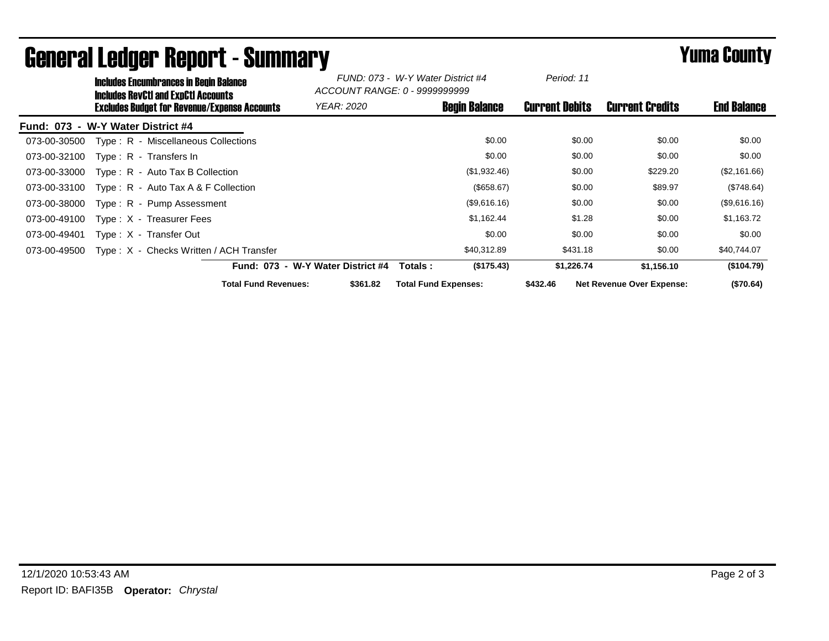|                                   | <b>Includes Encumbrances in Begin Balance</b><br><b>Includes RevCtI and ExpCtI Accounts</b> |                                                     |                                   | FUND: 073 - W-Y Water District #4<br>ACCOUNT RANGE: 0 - 99999999999 |                       |                                  |                    |
|-----------------------------------|---------------------------------------------------------------------------------------------|-----------------------------------------------------|-----------------------------------|---------------------------------------------------------------------|-----------------------|----------------------------------|--------------------|
|                                   |                                                                                             | <b>Excludes Budget for Revenue/Expense Accounts</b> | <i>YEAR: 2020</i>                 | <b>Begin Balance</b>                                                | <b>Current Debits</b> | <b>Current Credits</b>           | <b>End Balance</b> |
| Fund: 073 - W-Y Water District #4 |                                                                                             |                                                     |                                   |                                                                     |                       |                                  |                    |
| 073-00-30500                      |                                                                                             | Type: R - Miscellaneous Collections                 |                                   | \$0.00                                                              | \$0.00                | \$0.00                           | \$0.00             |
| 073-00-32100                      |                                                                                             | Type: R - Transfers In                              |                                   | \$0.00                                                              | \$0.00                | \$0.00                           | \$0.00             |
| 073-00-33000                      |                                                                                             | $Type: R - Auto Tax B Collection$                   |                                   | (\$1,932.46)                                                        | \$0.00                | \$229.20                         | (\$2,161.66)       |
| 073-00-33100                      |                                                                                             | Type: $R -$ Auto Tax A & F Collection               |                                   | (\$658.67)                                                          | \$0.00                | \$89.97                          | (\$748.64)         |
| 073-00-38000                      |                                                                                             | Type: R - Pump Assessment                           |                                   | (\$9,616.16)                                                        | \$0.00                | \$0.00                           | (\$9,616.16)       |
| 073-00-49100                      |                                                                                             | $Type: X - Treasure Fees$                           |                                   | \$1,162.44                                                          | \$1.28                | \$0.00                           | \$1,163.72         |
| 073-00-49401                      |                                                                                             | Type: X - Transfer Out                              |                                   | \$0.00                                                              | \$0.00                | \$0.00                           | \$0.00             |
| 073-00-49500                      |                                                                                             | Type: X - Checks Written / ACH Transfer             |                                   | \$40,312.89                                                         | \$431.18              | \$0.00                           | \$40,744.07        |
|                                   |                                                                                             |                                                     | Fund: 073 - W-Y Water District #4 | (\$175.43)<br>Totals:                                               | \$1,226.74            | \$1,156.10                       | (\$104.79)         |
|                                   |                                                                                             | <b>Total Fund Revenues:</b>                         | \$361.82                          | <b>Total Fund Expenses:</b>                                         | \$432.46              | <b>Net Revenue Over Expense:</b> | (\$70.64)          |

## General Ledger Report - Summary **Example 2018** Yuma County